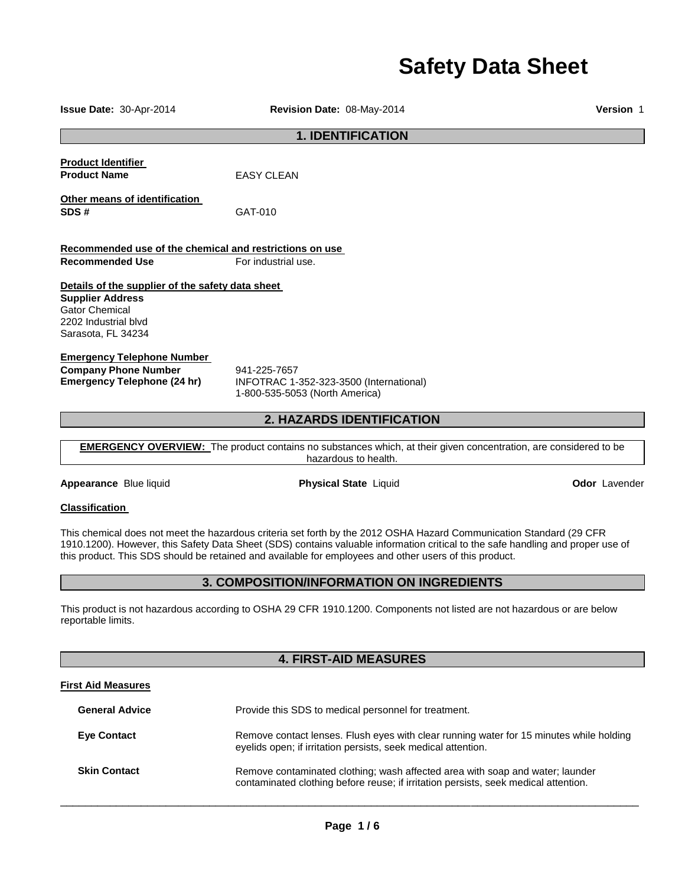# **Safety Data Sheet**

| <b>Issue Date: 30-Apr-2014</b>                                                                                                                     | Revision Date: 08-May-2014                                                                                                                                                                                                                                                                                                                                       | <b>Version 1</b>     |
|----------------------------------------------------------------------------------------------------------------------------------------------------|------------------------------------------------------------------------------------------------------------------------------------------------------------------------------------------------------------------------------------------------------------------------------------------------------------------------------------------------------------------|----------------------|
|                                                                                                                                                    | <b>1. IDENTIFICATION</b>                                                                                                                                                                                                                                                                                                                                         |                      |
| <b>Product Identifier</b><br><b>Product Name</b>                                                                                                   | EASY CLEAN                                                                                                                                                                                                                                                                                                                                                       |                      |
| Other means of identification<br>SDS#                                                                                                              | GAT-010                                                                                                                                                                                                                                                                                                                                                          |                      |
| Recommended use of the chemical and restrictions on use                                                                                            |                                                                                                                                                                                                                                                                                                                                                                  |                      |
| <b>Recommended Use</b>                                                                                                                             | For industrial use.                                                                                                                                                                                                                                                                                                                                              |                      |
| Details of the supplier of the safety data sheet<br><b>Supplier Address</b><br><b>Gator Chemical</b><br>2202 Industrial blvd<br>Sarasota, FL 34234 |                                                                                                                                                                                                                                                                                                                                                                  |                      |
| <b>Emergency Telephone Number</b><br><b>Company Phone Number</b><br><b>Emergency Telephone (24 hr)</b>                                             | 941-225-7657<br>INFOTRAC 1-352-323-3500 (International)<br>1-800-535-5053 (North America)                                                                                                                                                                                                                                                                        |                      |
|                                                                                                                                                    | 2. HAZARDS IDENTIFICATION                                                                                                                                                                                                                                                                                                                                        |                      |
|                                                                                                                                                    | <b>EMERGENCY OVERVIEW:</b> The product contains no substances which, at their given concentration, are considered to be<br>hazardous to health.                                                                                                                                                                                                                  |                      |
| Appearance Blue liquid                                                                                                                             | <b>Physical State Liquid</b>                                                                                                                                                                                                                                                                                                                                     | <b>Odor</b> Lavender |
| <b>Classification</b>                                                                                                                              |                                                                                                                                                                                                                                                                                                                                                                  |                      |
|                                                                                                                                                    | This chemical does not meet the hazardous criteria set forth by the 2012 OSHA Hazard Communication Standard (29 CFR<br>1910.1200). However, this Safety Data Sheet (SDS) contains valuable information critical to the safe handling and proper use of<br>this product. This SDS should be retained and available for employees and other users of this product. |                      |
| 3. COMPOSITION/INFORMATION ON INGREDIENTS                                                                                                          |                                                                                                                                                                                                                                                                                                                                                                  |                      |
| This product is not hazardous according to OSHA 29 CFR 1910.1200. Components not listed are not hazardous or are below<br>reportable limits.       |                                                                                                                                                                                                                                                                                                                                                                  |                      |
| <b>4. FIRST-AID MEASURES</b>                                                                                                                       |                                                                                                                                                                                                                                                                                                                                                                  |                      |
| <b>First Aid Measures</b>                                                                                                                          |                                                                                                                                                                                                                                                                                                                                                                  |                      |
| <b>General Advice</b>                                                                                                                              | Provide this SDS to medical personnel for treatment.                                                                                                                                                                                                                                                                                                             |                      |
| <b>Eye Contact</b>                                                                                                                                 | Remove contact lenses. Flush eyes with clear running water for 15 minutes while holding<br>eyelids open; if irritation persists, seek medical attention.                                                                                                                                                                                                         |                      |
| <b>Skin Contact</b>                                                                                                                                | Remove contaminated clothing; wash affected area with soap and water; launder                                                                                                                                                                                                                                                                                    |                      |

\_\_\_\_\_\_\_\_\_\_\_\_\_\_\_\_\_\_\_\_\_\_\_\_\_\_\_\_\_\_\_\_\_\_\_\_\_\_\_\_\_\_\_\_\_\_\_\_\_\_\_\_\_\_\_\_\_\_\_\_\_\_\_\_\_\_\_\_\_\_\_\_\_\_\_\_\_\_\_\_\_\_\_\_\_\_\_\_\_\_\_\_\_

contaminated clothing before reuse; if irritation persists, seek medical attention.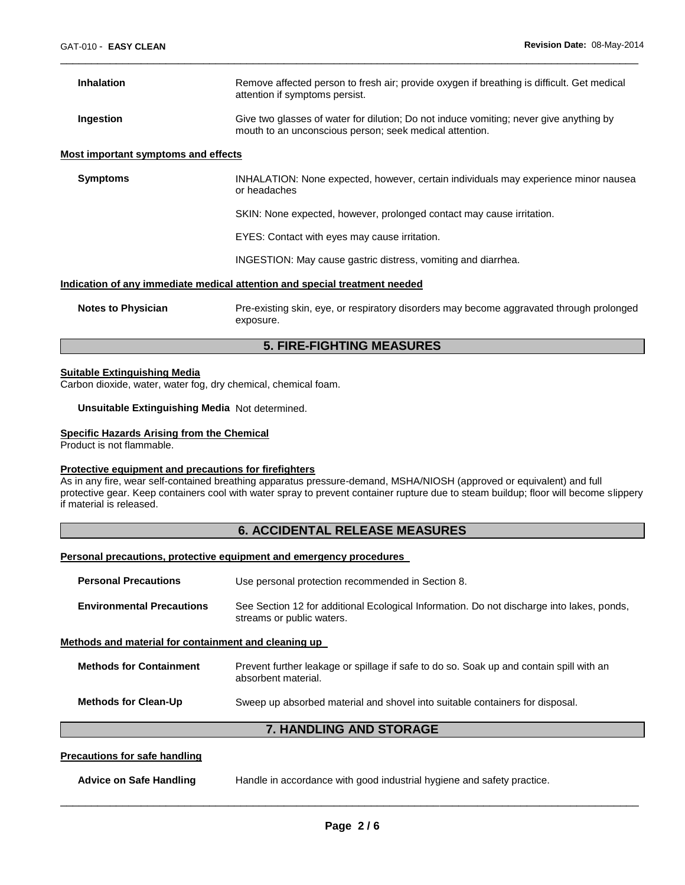| <b>Inhalation</b>                                                          | Remove affected person to fresh air; provide oxygen if breathing is difficult. Get medical<br>attention if symptoms persist.                      |  |
|----------------------------------------------------------------------------|---------------------------------------------------------------------------------------------------------------------------------------------------|--|
| Ingestion                                                                  | Give two glasses of water for dilution; Do not induce vomiting; never give anything by<br>mouth to an unconscious person; seek medical attention. |  |
| <b>Most important symptoms and effects</b>                                 |                                                                                                                                                   |  |
| <b>Symptoms</b>                                                            | INHALATION: None expected, however, certain individuals may experience minor nausea<br>or headaches                                               |  |
|                                                                            | SKIN: None expected, however, prolonged contact may cause irritation.                                                                             |  |
|                                                                            | EYES: Contact with eyes may cause irritation.                                                                                                     |  |
|                                                                            | INGESTION: May cause gastric distress, vomiting and diarrhea.                                                                                     |  |
| Indication of any immediate medical attention and special treatment needed |                                                                                                                                                   |  |
| <b>Notes to Physician</b>                                                  | Pre-existing skin, eye, or respiratory disorders may become aggravated through prolonged<br>exposure.                                             |  |

\_\_\_\_\_\_\_\_\_\_\_\_\_\_\_\_\_\_\_\_\_\_\_\_\_\_\_\_\_\_\_\_\_\_\_\_\_\_\_\_\_\_\_\_\_\_\_\_\_\_\_\_\_\_\_\_\_\_\_\_\_\_\_\_\_\_\_\_\_\_\_\_\_\_\_\_\_\_\_\_\_\_\_\_\_\_\_\_\_\_\_\_\_

### **5. FIRE-FIGHTING MEASURES**

#### **Suitable Extinguishing Media**

Carbon dioxide, water, water fog, dry chemical, chemical foam.

**Unsuitable Extinguishing Media** Not determined.

#### **Specific Hazards Arising from the Chemical**

Product is not flammable.

#### **Protective equipment and precautions for firefighters**

As in any fire, wear self-contained breathing apparatus pressure-demand, MSHA/NIOSH (approved or equivalent) and full protective gear. Keep containers cool with water spray to prevent container rupture due to steam buildup; floor will become slippery if material is released.

### **6. ACCIDENTAL RELEASE MEASURES**

#### **Personal precautions, protective equipment and emergency procedures**

| <b>Personal Precautions</b>                          | Use personal protection recommended in Section 8.                                                                      |  |
|------------------------------------------------------|------------------------------------------------------------------------------------------------------------------------|--|
| <b>Environmental Precautions</b>                     | See Section 12 for additional Ecological Information. Do not discharge into lakes, ponds,<br>streams or public waters. |  |
| Methods and material for containment and cleaning up |                                                                                                                        |  |
| <b>Methods for Containment</b>                       | Prevent further leakage or spillage if safe to do so. Soak up and contain spill with an<br>absorbent material.         |  |
| <b>Methods for Clean-Up</b>                          | Sweep up absorbed material and shovel into suitable containers for disposal.                                           |  |
| <b>7. HANDLING AND STORAGE</b>                       |                                                                                                                        |  |
| Drocautione for eafo handling                        |                                                                                                                        |  |

### **Precautions for safe handling**

| <b>Advice on Safe Handling</b> | Handle in accordance with good industrial hygiene and safety practice. |  |
|--------------------------------|------------------------------------------------------------------------|--|
|                                |                                                                        |  |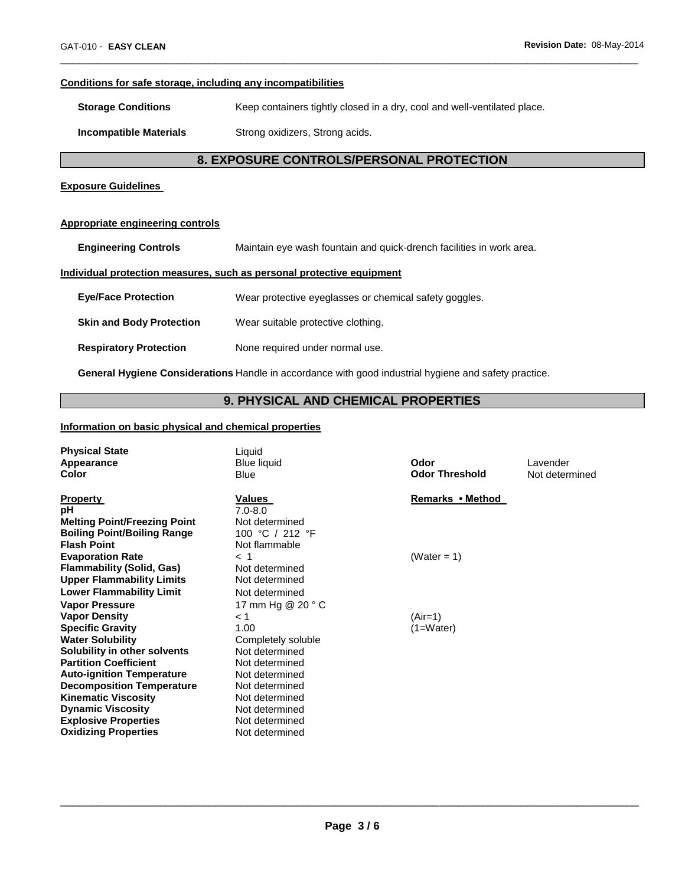### **Conditions for safe storage, including any incompatibilities**

**Storage Conditions Keep containers tightly closed in a dry, cool and well-ventilated place.** 

**Incompatible Materials Strong oxidizers, Strong acids.** 

### **8. EXPOSURE CONTROLS/PERSONAL PROTECTION**

\_\_\_\_\_\_\_\_\_\_\_\_\_\_\_\_\_\_\_\_\_\_\_\_\_\_\_\_\_\_\_\_\_\_\_\_\_\_\_\_\_\_\_\_\_\_\_\_\_\_\_\_\_\_\_\_\_\_\_\_\_\_\_\_\_\_\_\_\_\_\_\_\_\_\_\_\_\_\_\_\_\_\_\_\_\_\_\_\_\_\_\_\_

#### **Exposure Guidelines**

#### **Appropriate engineering controls**

**Engineering Controls** Maintain eye wash fountain and quick-drench facilities in work area.

### **Individual protection measures, such as personal protective equipment**

| <b>Eye/Face Protection</b>      | Wear protective eyeglasses or chemical safety goggles. |
|---------------------------------|--------------------------------------------------------|
| <b>Skin and Body Protection</b> | Wear suitable protective clothing.                     |
| <b>Respiratory Protection</b>   | None required under normal use.                        |

**General Hygiene Considerations** Handle in accordance with good industrial hygiene and safety practice.

### **9. PHYSICAL AND CHEMICAL PROPERTIES**

#### **Information on basic physical and chemical properties**

| <b>Physical State</b><br>Appearance<br>Color                                                                                                                                                                                                                                                                | Liquid<br><b>Blue liquid</b><br><b>Blue</b>                                                                                                                     | Odor<br><b>Odor Threshold</b> | Lavender<br>Not determined |
|-------------------------------------------------------------------------------------------------------------------------------------------------------------------------------------------------------------------------------------------------------------------------------------------------------------|-----------------------------------------------------------------------------------------------------------------------------------------------------------------|-------------------------------|----------------------------|
| <b>Property</b><br>рH<br><b>Melting Point/Freezing Point</b><br><b>Boiling Point/Boiling Range</b><br><b>Flash Point</b>                                                                                                                                                                                    | Values<br>$7.0 - 8.0$<br>Not determined<br>100 °C / 212 °F<br>Not flammable                                                                                     | Remarks • Method              |                            |
| <b>Evaporation Rate</b><br><b>Flammability (Solid, Gas)</b><br><b>Upper Flammability Limits</b><br><b>Lower Flammability Limit</b><br><b>Vapor Pressure</b>                                                                                                                                                 | $<$ 1<br>Not determined<br>Not determined<br>Not determined<br>17 mm Hg @ 20 ° C                                                                                | (Water = 1)                   |                            |
| <b>Vapor Density</b><br><b>Specific Gravity</b><br><b>Water Solubility</b><br>Solubility in other solvents<br><b>Partition Coefficient</b><br><b>Auto-ignition Temperature</b><br><b>Decomposition Temperature</b><br><b>Kinematic Viscosity</b><br><b>Dynamic Viscosity</b><br><b>Explosive Properties</b> | < 1<br>1.00<br>Completely soluble<br>Not determined<br>Not determined<br>Not determined<br>Not determined<br>Not determined<br>Not determined<br>Not determined | $(Air=1)$<br>$(1=Water)$      |                            |
| <b>Oxidizing Properties</b>                                                                                                                                                                                                                                                                                 | Not determined                                                                                                                                                  |                               |                            |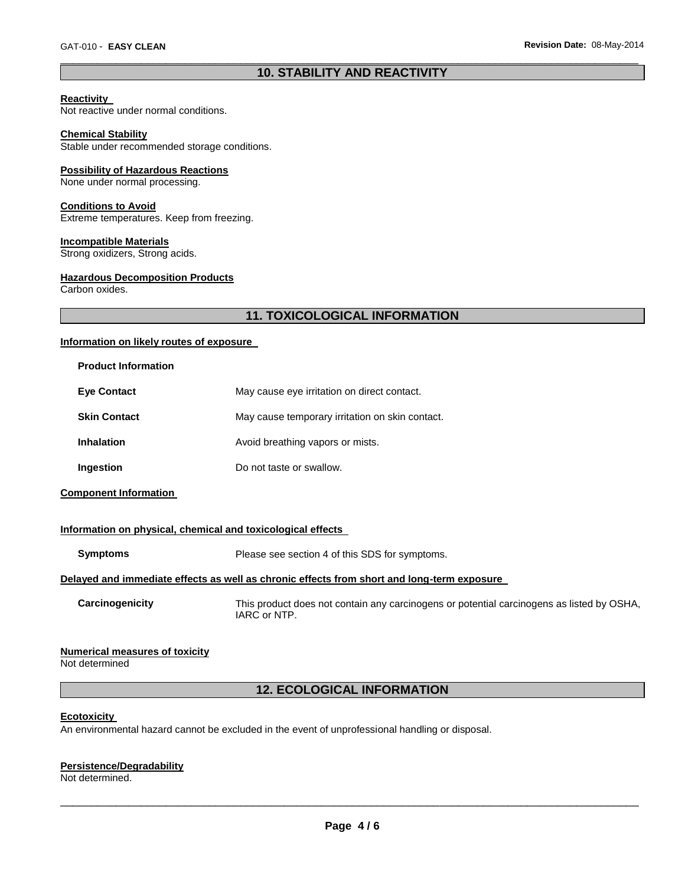### \_\_\_\_\_\_\_\_\_\_\_\_\_\_\_\_\_\_\_\_\_\_\_\_\_\_\_\_\_\_\_\_\_\_\_\_\_\_\_\_\_\_\_\_\_\_\_\_\_\_\_\_\_\_\_\_\_\_\_\_\_\_\_\_\_\_\_\_\_\_\_\_\_\_\_\_\_\_\_\_\_\_\_\_\_\_\_\_\_\_\_\_\_ **10. STABILITY AND REACTIVITY**

#### **Reactivity**

Not reactive under normal conditions.

#### **Chemical Stability**

Stable under recommended storage conditions.

#### **Possibility of Hazardous Reactions**

None under normal processing.

#### **Conditions to Avoid**

Extreme temperatures. Keep from freezing.

#### **Incompatible Materials**

Strong oxidizers, Strong acids.

#### **Hazardous Decomposition Products**

Carbon oxides.

### **11. TOXICOLOGICAL INFORMATION**

#### **Information on likely routes of exposure**

| <b>Product Information</b> |                                                 |
|----------------------------|-------------------------------------------------|
| <b>Eve Contact</b>         | May cause eye irritation on direct contact.     |
| <b>Skin Contact</b>        | May cause temporary irritation on skin contact. |
| <b>Inhalation</b>          | Avoid breathing vapors or mists.                |
| Ingestion                  | Do not taste or swallow.                        |

**Component Information** 

#### **Information on physical, chemical and toxicological effects**

| <b>Symptoms</b> | Please see section 4 of this SDS for symptoms.                                             |  |
|-----------------|--------------------------------------------------------------------------------------------|--|
|                 | Delaved and immediate effects as well as chronic effects from short and long-term exposure |  |

**Carcinogenicity** This product does not contain any carcinogens or potential carcinogens as listed by OSHA, IARC or NTP.

#### **Numerical measures of toxicity**

Not determined

### **12. ECOLOGICAL INFORMATION**

#### **Ecotoxicity**

An environmental hazard cannot be excluded in the event of unprofessional handling or disposal.

### **Persistence/Degradability**

Not determined.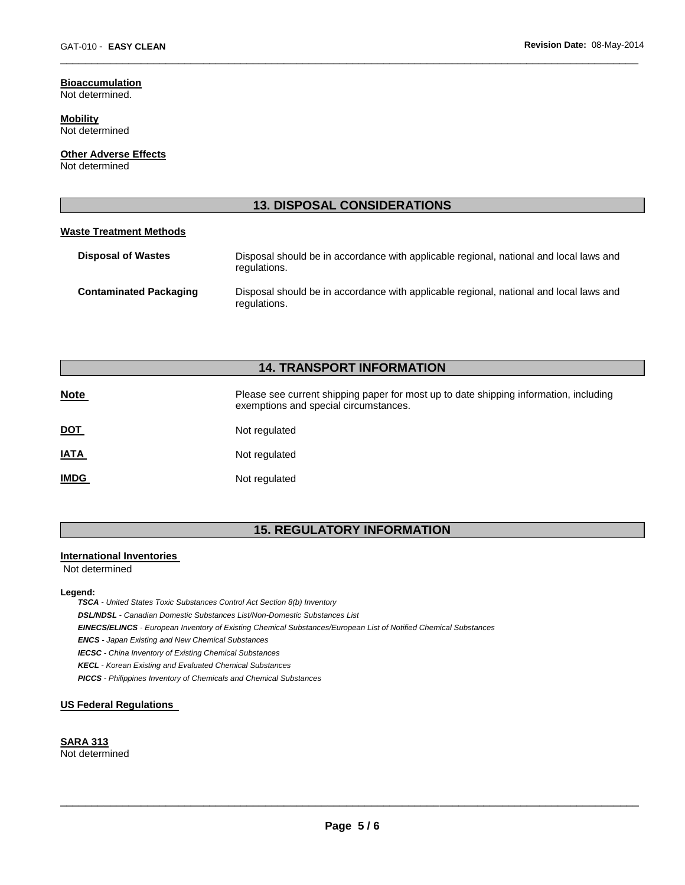#### **Bioaccumulation** Not determined.

**Mobility** Not determined

**Other Adverse Effects**

Not determined

### **13. DISPOSAL CONSIDERATIONS**

\_\_\_\_\_\_\_\_\_\_\_\_\_\_\_\_\_\_\_\_\_\_\_\_\_\_\_\_\_\_\_\_\_\_\_\_\_\_\_\_\_\_\_\_\_\_\_\_\_\_\_\_\_\_\_\_\_\_\_\_\_\_\_\_\_\_\_\_\_\_\_\_\_\_\_\_\_\_\_\_\_\_\_\_\_\_\_\_\_\_\_\_\_

#### **Waste Treatment Methods**

| <b>Disposal of Wastes</b>     | Disposal should be in accordance with applicable regional, national and local laws and<br>regulations. |
|-------------------------------|--------------------------------------------------------------------------------------------------------|
| <b>Contaminated Packaging</b> | Disposal should be in accordance with applicable regional, national and local laws and<br>regulations. |

### **14. TRANSPORT INFORMATION**

| <b>Note</b> | Please see current shipping paper for most up to date shipping information, including<br>exemptions and special circumstances. |
|-------------|--------------------------------------------------------------------------------------------------------------------------------|
| <u>DOT</u>  | Not regulated                                                                                                                  |
| <u>IATA</u> | Not regulated                                                                                                                  |
| <u>IMDG</u> | Not regulated                                                                                                                  |

## **15. REGULATORY INFORMATION**

### **International Inventories**

Not determined

#### **Legend:**

*TSCA - United States Toxic Substances Control Act Section 8(b) Inventory* 

*DSL/NDSL - Canadian Domestic Substances List/Non-Domestic Substances List* 

*EINECS/ELINCS - European Inventory of Existing Chemical Substances/European List of Notified Chemical Substances* 

*ENCS - Japan Existing and New Chemical Substances* 

*IECSC - China Inventory of Existing Chemical Substances* 

*KECL - Korean Existing and Evaluated Chemical Substances* 

*PICCS - Philippines Inventory of Chemicals and Chemical Substances* 

#### **US Federal Regulations**

#### **SARA 313** Not determined